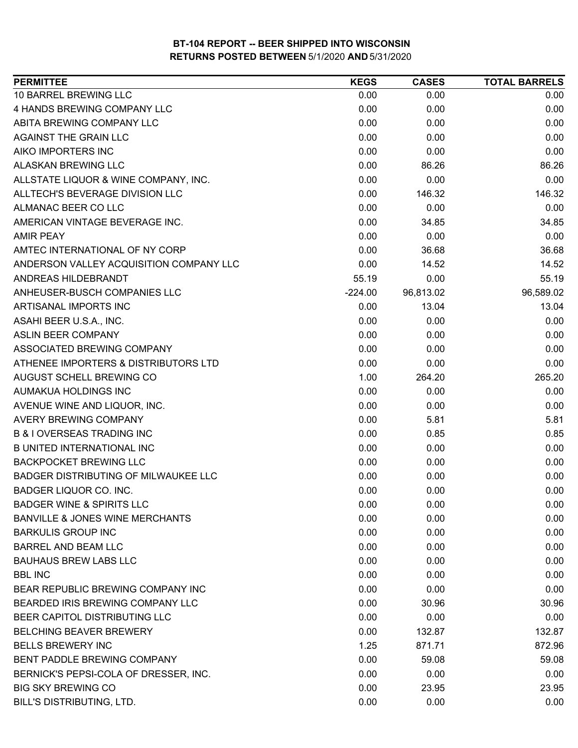| <b>PERMITTEE</b>                            | <b>KEGS</b> | <b>CASES</b> | <b>TOTAL BARRELS</b> |
|---------------------------------------------|-------------|--------------|----------------------|
| 10 BARREL BREWING LLC                       | 0.00        | 0.00         | 0.00                 |
| 4 HANDS BREWING COMPANY LLC                 | 0.00        | 0.00         | 0.00                 |
| ABITA BREWING COMPANY LLC                   | 0.00        | 0.00         | 0.00                 |
| AGAINST THE GRAIN LLC                       | 0.00        | 0.00         | 0.00                 |
| AIKO IMPORTERS INC                          | 0.00        | 0.00         | 0.00                 |
| <b>ALASKAN BREWING LLC</b>                  | 0.00        | 86.26        | 86.26                |
| ALLSTATE LIQUOR & WINE COMPANY, INC.        | 0.00        | 0.00         | 0.00                 |
| ALLTECH'S BEVERAGE DIVISION LLC             | 0.00        | 146.32       | 146.32               |
| ALMANAC BEER CO LLC                         | 0.00        | 0.00         | 0.00                 |
| AMERICAN VINTAGE BEVERAGE INC.              | 0.00        | 34.85        | 34.85                |
| <b>AMIR PEAY</b>                            | 0.00        | 0.00         | 0.00                 |
| AMTEC INTERNATIONAL OF NY CORP              | 0.00        | 36.68        | 36.68                |
| ANDERSON VALLEY ACQUISITION COMPANY LLC     | 0.00        | 14.52        | 14.52                |
| ANDREAS HILDEBRANDT                         | 55.19       | 0.00         | 55.19                |
| ANHEUSER-BUSCH COMPANIES LLC                | $-224.00$   | 96,813.02    | 96,589.02            |
| ARTISANAL IMPORTS INC                       | 0.00        | 13.04        | 13.04                |
| ASAHI BEER U.S.A., INC.                     | 0.00        | 0.00         | 0.00                 |
| ASLIN BEER COMPANY                          | 0.00        | 0.00         | 0.00                 |
| ASSOCIATED BREWING COMPANY                  | 0.00        | 0.00         | 0.00                 |
| ATHENEE IMPORTERS & DISTRIBUTORS LTD        | 0.00        | 0.00         | 0.00                 |
| AUGUST SCHELL BREWING CO                    | 1.00        | 264.20       | 265.20               |
| AUMAKUA HOLDINGS INC                        | 0.00        | 0.00         | 0.00                 |
| AVENUE WINE AND LIQUOR, INC.                | 0.00        | 0.00         | 0.00                 |
| AVERY BREWING COMPANY                       | 0.00        | 5.81         | 5.81                 |
| <b>B &amp; I OVERSEAS TRADING INC</b>       | 0.00        | 0.85         | 0.85                 |
| <b>B UNITED INTERNATIONAL INC</b>           | 0.00        | 0.00         | 0.00                 |
| <b>BACKPOCKET BREWING LLC</b>               | 0.00        | 0.00         | 0.00                 |
| <b>BADGER DISTRIBUTING OF MILWAUKEE LLC</b> | 0.00        | 0.00         | 0.00                 |
| <b>BADGER LIQUOR CO. INC.</b>               | 0.00        | 0.00         | 0.00                 |
| <b>BADGER WINE &amp; SPIRITS LLC</b>        | 0.00        | 0.00         | 0.00                 |
| <b>BANVILLE &amp; JONES WINE MERCHANTS</b>  | 0.00        | 0.00         | 0.00                 |
| <b>BARKULIS GROUP INC</b>                   | 0.00        | 0.00         | 0.00                 |
| <b>BARREL AND BEAM LLC</b>                  | 0.00        | 0.00         | 0.00                 |
| <b>BAUHAUS BREW LABS LLC</b>                | 0.00        | 0.00         | 0.00                 |
| <b>BBL INC</b>                              | 0.00        | 0.00         | 0.00                 |
| BEAR REPUBLIC BREWING COMPANY INC           | 0.00        | 0.00         | 0.00                 |
| BEARDED IRIS BREWING COMPANY LLC            | 0.00        | 30.96        | 30.96                |
| BEER CAPITOL DISTRIBUTING LLC               | 0.00        | 0.00         | 0.00                 |
| <b>BELCHING BEAVER BREWERY</b>              | 0.00        | 132.87       | 132.87               |
| <b>BELLS BREWERY INC</b>                    | 1.25        | 871.71       | 872.96               |
| BENT PADDLE BREWING COMPANY                 | 0.00        | 59.08        | 59.08                |
| BERNICK'S PEPSI-COLA OF DRESSER, INC.       | 0.00        | 0.00         | 0.00                 |
| <b>BIG SKY BREWING CO</b>                   | 0.00        | 23.95        | 23.95                |
| BILL'S DISTRIBUTING, LTD.                   | 0.00        | 0.00         | 0.00                 |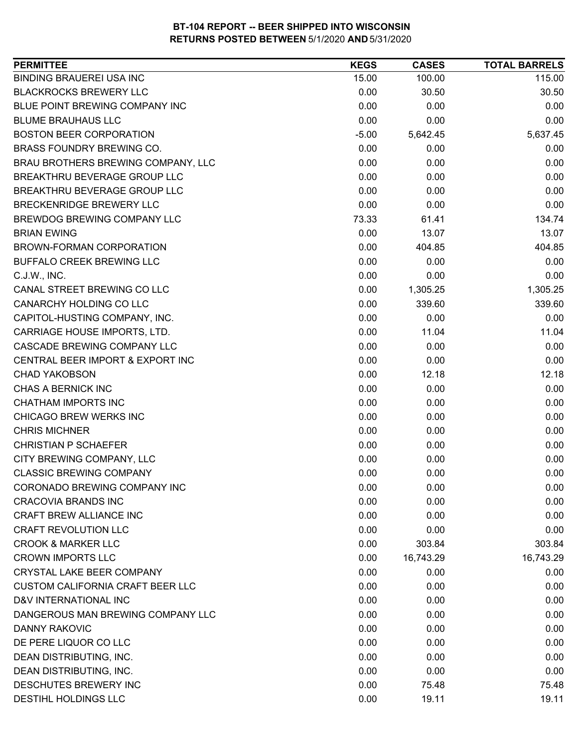| <b>PERMITTEE</b>                        | <b>KEGS</b> | <b>CASES</b> | <b>TOTAL BARRELS</b> |
|-----------------------------------------|-------------|--------------|----------------------|
| <b>BINDING BRAUEREI USA INC</b>         | 15.00       | 100.00       | 115.00               |
| <b>BLACKROCKS BREWERY LLC</b>           | 0.00        | 30.50        | 30.50                |
| BLUE POINT BREWING COMPANY INC          | 0.00        | 0.00         | 0.00                 |
| <b>BLUME BRAUHAUS LLC</b>               | 0.00        | 0.00         | 0.00                 |
| <b>BOSTON BEER CORPORATION</b>          | $-5.00$     | 5,642.45     | 5,637.45             |
| BRASS FOUNDRY BREWING CO.               | 0.00        | 0.00         | 0.00                 |
| BRAU BROTHERS BREWING COMPANY, LLC      | 0.00        | 0.00         | 0.00                 |
| BREAKTHRU BEVERAGE GROUP LLC            | 0.00        | 0.00         | 0.00                 |
| BREAKTHRU BEVERAGE GROUP LLC            | 0.00        | 0.00         | 0.00                 |
| <b>BRECKENRIDGE BREWERY LLC</b>         | 0.00        | 0.00         | 0.00                 |
| BREWDOG BREWING COMPANY LLC             | 73.33       | 61.41        | 134.74               |
| <b>BRIAN EWING</b>                      | 0.00        | 13.07        | 13.07                |
| BROWN-FORMAN CORPORATION                | 0.00        | 404.85       | 404.85               |
| BUFFALO CREEK BREWING LLC               | 0.00        | 0.00         | 0.00                 |
| C.J.W., INC.                            | 0.00        | 0.00         | 0.00                 |
| CANAL STREET BREWING CO LLC             | 0.00        | 1,305.25     | 1,305.25             |
| CANARCHY HOLDING CO LLC                 | 0.00        | 339.60       | 339.60               |
| CAPITOL-HUSTING COMPANY, INC.           | 0.00        | 0.00         | 0.00                 |
| CARRIAGE HOUSE IMPORTS, LTD.            | 0.00        | 11.04        | 11.04                |
| CASCADE BREWING COMPANY LLC             | 0.00        | 0.00         | 0.00                 |
| CENTRAL BEER IMPORT & EXPORT INC        | 0.00        | 0.00         | 0.00                 |
| <b>CHAD YAKOBSON</b>                    | 0.00        | 12.18        | 12.18                |
| <b>CHAS A BERNICK INC</b>               | 0.00        | 0.00         | 0.00                 |
| <b>CHATHAM IMPORTS INC</b>              | 0.00        | 0.00         | 0.00                 |
| CHICAGO BREW WERKS INC                  | 0.00        | 0.00         | 0.00                 |
| <b>CHRIS MICHNER</b>                    | 0.00        | 0.00         | 0.00                 |
| <b>CHRISTIAN P SCHAEFER</b>             | 0.00        | 0.00         | 0.00                 |
| CITY BREWING COMPANY, LLC               | 0.00        | 0.00         | 0.00                 |
| <b>CLASSIC BREWING COMPANY</b>          | 0.00        | 0.00         | 0.00                 |
| CORONADO BREWING COMPANY INC            | 0.00        | 0.00         | 0.00                 |
| <b>CRACOVIA BRANDS INC</b>              | 0.00        | 0.00         | 0.00                 |
| CRAFT BREW ALLIANCE INC                 | 0.00        | 0.00         | 0.00                 |
| <b>CRAFT REVOLUTION LLC</b>             | 0.00        | 0.00         | 0.00                 |
| <b>CROOK &amp; MARKER LLC</b>           | 0.00        | 303.84       | 303.84               |
| <b>CROWN IMPORTS LLC</b>                | 0.00        | 16,743.29    | 16,743.29            |
| <b>CRYSTAL LAKE BEER COMPANY</b>        | 0.00        | 0.00         | 0.00                 |
| <b>CUSTOM CALIFORNIA CRAFT BEER LLC</b> | 0.00        | 0.00         | 0.00                 |
| D&V INTERNATIONAL INC                   | 0.00        | 0.00         | 0.00                 |
| DANGEROUS MAN BREWING COMPANY LLC       | 0.00        | 0.00         | 0.00                 |
| <b>DANNY RAKOVIC</b>                    | 0.00        | 0.00         | 0.00                 |
| DE PERE LIQUOR CO LLC                   | 0.00        | 0.00         | 0.00                 |
| DEAN DISTRIBUTING, INC.                 | 0.00        | 0.00         | 0.00                 |
| DEAN DISTRIBUTING, INC.                 | 0.00        | 0.00         | 0.00                 |
| DESCHUTES BREWERY INC                   | 0.00        | 75.48        | 75.48                |
| DESTIHL HOLDINGS LLC                    | 0.00        | 19.11        | 19.11                |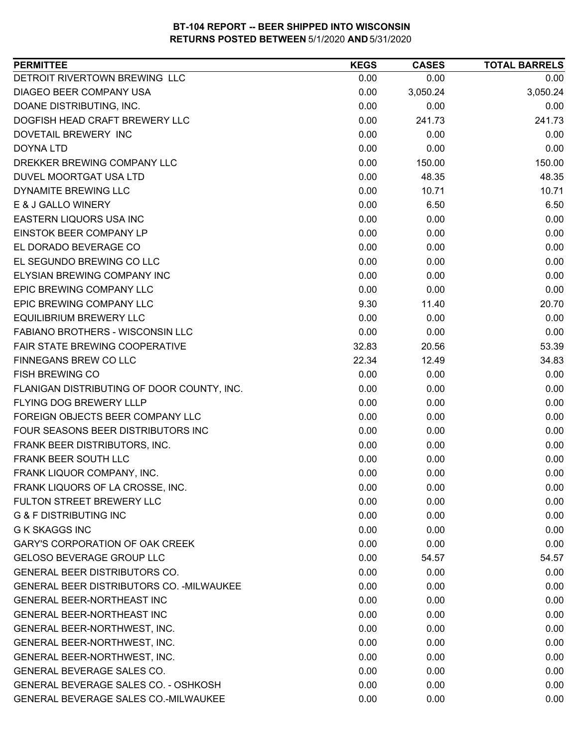| DETROIT RIVERTOWN BREWING LLC<br>0.00<br>0.00<br>0.00<br>DIAGEO BEER COMPANY USA<br>0.00<br>3,050.24<br>3,050.24<br>0.00<br>DOANE DISTRIBUTING, INC.<br>0.00<br>0.00<br>DOGFISH HEAD CRAFT BREWERY LLC<br>0.00<br>241.73<br>241.73<br>0.00<br>0.00<br>DOVETAIL BREWERY INC<br>0.00<br>0.00<br>0.00<br><b>DOYNA LTD</b><br>0.00<br>DREKKER BREWING COMPANY LLC<br>0.00<br>150.00<br>150.00<br>DUVEL MOORTGAT USA LTD<br>0.00<br>48.35<br>48.35<br><b>DYNAMITE BREWING LLC</b><br>0.00<br>10.71<br>10.71<br>E & J GALLO WINERY<br>0.00<br>6.50<br>6.50<br><b>EASTERN LIQUORS USA INC</b><br>0.00<br>0.00<br>0.00<br>EINSTOK BEER COMPANY LP<br>0.00<br>0.00<br>0.00<br>EL DORADO BEVERAGE CO<br>0.00<br>0.00<br>0.00<br>EL SEGUNDO BREWING CO LLC<br>0.00<br>0.00<br>0.00<br>ELYSIAN BREWING COMPANY INC<br>0.00<br>0.00<br>0.00<br><b>EPIC BREWING COMPANY LLC</b><br>0.00<br>0.00<br>0.00<br>EPIC BREWING COMPANY LLC<br>9.30<br>20.70<br>11.40<br><b>EQUILIBRIUM BREWERY LLC</b><br>0.00<br>0.00<br>0.00<br><b>FABIANO BROTHERS - WISCONSIN LLC</b><br>0.00<br>0.00<br>0.00<br>32.83<br>53.39<br>FAIR STATE BREWING COOPERATIVE<br>20.56<br>FINNEGANS BREW CO LLC<br>22.34<br>34.83<br>12.49<br><b>FISH BREWING CO</b><br>0.00<br>0.00<br>0.00<br>FLANIGAN DISTRIBUTING OF DOOR COUNTY, INC.<br>0.00<br>0.00<br>0.00<br>FLYING DOG BREWERY LLLP<br>0.00<br>0.00<br>0.00<br>FOREIGN OBJECTS BEER COMPANY LLC<br>0.00<br>0.00<br>0.00<br>FOUR SEASONS BEER DISTRIBUTORS INC<br>0.00<br>0.00<br>0.00<br>FRANK BEER DISTRIBUTORS, INC.<br>0.00<br>0.00<br>0.00<br>FRANK BEER SOUTH LLC<br>0.00<br>0.00<br>0.00<br>0.00<br>FRANK LIQUOR COMPANY, INC.<br>0.00<br>0.00<br>FRANK LIQUORS OF LA CROSSE, INC.<br>0.00<br>0.00<br>0.00<br>0.00<br>FULTON STREET BREWERY LLC<br>0.00<br>0.00<br><b>G &amp; F DISTRIBUTING INC</b><br>0.00<br>0.00<br>0.00<br><b>G K SKAGGS INC</b><br>0.00<br>0.00<br>0.00<br><b>GARY'S CORPORATION OF OAK CREEK</b><br>0.00<br>0.00<br>0.00<br><b>GELOSO BEVERAGE GROUP LLC</b><br>0.00<br>54.57<br>54.57<br><b>GENERAL BEER DISTRIBUTORS CO.</b><br>0.00<br>0.00<br>0.00<br>GENERAL BEER DISTRIBUTORS CO. - MILWAUKEE<br>0.00<br>0.00<br>0.00<br><b>GENERAL BEER-NORTHEAST INC</b><br>0.00<br>0.00<br>0.00<br><b>GENERAL BEER-NORTHEAST INC</b><br>0.00<br>0.00<br>0.00<br>0.00<br>GENERAL BEER-NORTHWEST, INC.<br>0.00<br>0.00<br>0.00<br>0.00<br>GENERAL BEER-NORTHWEST, INC.<br>0.00<br>GENERAL BEER-NORTHWEST, INC.<br>0.00<br>0.00<br>0.00<br>GENERAL BEVERAGE SALES CO.<br>0.00<br>0.00<br>0.00<br>GENERAL BEVERAGE SALES CO. - OSHKOSH<br>0.00<br>0.00<br>0.00<br>GENERAL BEVERAGE SALES CO.-MILWAUKEE<br>0.00<br>0.00<br>0.00 | <b>PERMITTEE</b> | <b>KEGS</b> | <b>CASES</b> | <b>TOTAL BARRELS</b> |
|---------------------------------------------------------------------------------------------------------------------------------------------------------------------------------------------------------------------------------------------------------------------------------------------------------------------------------------------------------------------------------------------------------------------------------------------------------------------------------------------------------------------------------------------------------------------------------------------------------------------------------------------------------------------------------------------------------------------------------------------------------------------------------------------------------------------------------------------------------------------------------------------------------------------------------------------------------------------------------------------------------------------------------------------------------------------------------------------------------------------------------------------------------------------------------------------------------------------------------------------------------------------------------------------------------------------------------------------------------------------------------------------------------------------------------------------------------------------------------------------------------------------------------------------------------------------------------------------------------------------------------------------------------------------------------------------------------------------------------------------------------------------------------------------------------------------------------------------------------------------------------------------------------------------------------------------------------------------------------------------------------------------------------------------------------------------------------------------------------------------------------------------------------------------------------------------------------------------------------------------------------------------------------------------------------------------------------------------------------------------------------------------------------------------------------------------------------------------------------------------------------------------------------------------------------------------------------------------------------------------------------------------------------------|------------------|-------------|--------------|----------------------|
|                                                                                                                                                                                                                                                                                                                                                                                                                                                                                                                                                                                                                                                                                                                                                                                                                                                                                                                                                                                                                                                                                                                                                                                                                                                                                                                                                                                                                                                                                                                                                                                                                                                                                                                                                                                                                                                                                                                                                                                                                                                                                                                                                                                                                                                                                                                                                                                                                                                                                                                                                                                                                                                               |                  |             |              |                      |
|                                                                                                                                                                                                                                                                                                                                                                                                                                                                                                                                                                                                                                                                                                                                                                                                                                                                                                                                                                                                                                                                                                                                                                                                                                                                                                                                                                                                                                                                                                                                                                                                                                                                                                                                                                                                                                                                                                                                                                                                                                                                                                                                                                                                                                                                                                                                                                                                                                                                                                                                                                                                                                                               |                  |             |              |                      |
|                                                                                                                                                                                                                                                                                                                                                                                                                                                                                                                                                                                                                                                                                                                                                                                                                                                                                                                                                                                                                                                                                                                                                                                                                                                                                                                                                                                                                                                                                                                                                                                                                                                                                                                                                                                                                                                                                                                                                                                                                                                                                                                                                                                                                                                                                                                                                                                                                                                                                                                                                                                                                                                               |                  |             |              |                      |
|                                                                                                                                                                                                                                                                                                                                                                                                                                                                                                                                                                                                                                                                                                                                                                                                                                                                                                                                                                                                                                                                                                                                                                                                                                                                                                                                                                                                                                                                                                                                                                                                                                                                                                                                                                                                                                                                                                                                                                                                                                                                                                                                                                                                                                                                                                                                                                                                                                                                                                                                                                                                                                                               |                  |             |              |                      |
|                                                                                                                                                                                                                                                                                                                                                                                                                                                                                                                                                                                                                                                                                                                                                                                                                                                                                                                                                                                                                                                                                                                                                                                                                                                                                                                                                                                                                                                                                                                                                                                                                                                                                                                                                                                                                                                                                                                                                                                                                                                                                                                                                                                                                                                                                                                                                                                                                                                                                                                                                                                                                                                               |                  |             |              |                      |
|                                                                                                                                                                                                                                                                                                                                                                                                                                                                                                                                                                                                                                                                                                                                                                                                                                                                                                                                                                                                                                                                                                                                                                                                                                                                                                                                                                                                                                                                                                                                                                                                                                                                                                                                                                                                                                                                                                                                                                                                                                                                                                                                                                                                                                                                                                                                                                                                                                                                                                                                                                                                                                                               |                  |             |              |                      |
|                                                                                                                                                                                                                                                                                                                                                                                                                                                                                                                                                                                                                                                                                                                                                                                                                                                                                                                                                                                                                                                                                                                                                                                                                                                                                                                                                                                                                                                                                                                                                                                                                                                                                                                                                                                                                                                                                                                                                                                                                                                                                                                                                                                                                                                                                                                                                                                                                                                                                                                                                                                                                                                               |                  |             |              |                      |
|                                                                                                                                                                                                                                                                                                                                                                                                                                                                                                                                                                                                                                                                                                                                                                                                                                                                                                                                                                                                                                                                                                                                                                                                                                                                                                                                                                                                                                                                                                                                                                                                                                                                                                                                                                                                                                                                                                                                                                                                                                                                                                                                                                                                                                                                                                                                                                                                                                                                                                                                                                                                                                                               |                  |             |              |                      |
|                                                                                                                                                                                                                                                                                                                                                                                                                                                                                                                                                                                                                                                                                                                                                                                                                                                                                                                                                                                                                                                                                                                                                                                                                                                                                                                                                                                                                                                                                                                                                                                                                                                                                                                                                                                                                                                                                                                                                                                                                                                                                                                                                                                                                                                                                                                                                                                                                                                                                                                                                                                                                                                               |                  |             |              |                      |
|                                                                                                                                                                                                                                                                                                                                                                                                                                                                                                                                                                                                                                                                                                                                                                                                                                                                                                                                                                                                                                                                                                                                                                                                                                                                                                                                                                                                                                                                                                                                                                                                                                                                                                                                                                                                                                                                                                                                                                                                                                                                                                                                                                                                                                                                                                                                                                                                                                                                                                                                                                                                                                                               |                  |             |              |                      |
|                                                                                                                                                                                                                                                                                                                                                                                                                                                                                                                                                                                                                                                                                                                                                                                                                                                                                                                                                                                                                                                                                                                                                                                                                                                                                                                                                                                                                                                                                                                                                                                                                                                                                                                                                                                                                                                                                                                                                                                                                                                                                                                                                                                                                                                                                                                                                                                                                                                                                                                                                                                                                                                               |                  |             |              |                      |
|                                                                                                                                                                                                                                                                                                                                                                                                                                                                                                                                                                                                                                                                                                                                                                                                                                                                                                                                                                                                                                                                                                                                                                                                                                                                                                                                                                                                                                                                                                                                                                                                                                                                                                                                                                                                                                                                                                                                                                                                                                                                                                                                                                                                                                                                                                                                                                                                                                                                                                                                                                                                                                                               |                  |             |              |                      |
|                                                                                                                                                                                                                                                                                                                                                                                                                                                                                                                                                                                                                                                                                                                                                                                                                                                                                                                                                                                                                                                                                                                                                                                                                                                                                                                                                                                                                                                                                                                                                                                                                                                                                                                                                                                                                                                                                                                                                                                                                                                                                                                                                                                                                                                                                                                                                                                                                                                                                                                                                                                                                                                               |                  |             |              |                      |
|                                                                                                                                                                                                                                                                                                                                                                                                                                                                                                                                                                                                                                                                                                                                                                                                                                                                                                                                                                                                                                                                                                                                                                                                                                                                                                                                                                                                                                                                                                                                                                                                                                                                                                                                                                                                                                                                                                                                                                                                                                                                                                                                                                                                                                                                                                                                                                                                                                                                                                                                                                                                                                                               |                  |             |              |                      |
|                                                                                                                                                                                                                                                                                                                                                                                                                                                                                                                                                                                                                                                                                                                                                                                                                                                                                                                                                                                                                                                                                                                                                                                                                                                                                                                                                                                                                                                                                                                                                                                                                                                                                                                                                                                                                                                                                                                                                                                                                                                                                                                                                                                                                                                                                                                                                                                                                                                                                                                                                                                                                                                               |                  |             |              |                      |
|                                                                                                                                                                                                                                                                                                                                                                                                                                                                                                                                                                                                                                                                                                                                                                                                                                                                                                                                                                                                                                                                                                                                                                                                                                                                                                                                                                                                                                                                                                                                                                                                                                                                                                                                                                                                                                                                                                                                                                                                                                                                                                                                                                                                                                                                                                                                                                                                                                                                                                                                                                                                                                                               |                  |             |              |                      |
|                                                                                                                                                                                                                                                                                                                                                                                                                                                                                                                                                                                                                                                                                                                                                                                                                                                                                                                                                                                                                                                                                                                                                                                                                                                                                                                                                                                                                                                                                                                                                                                                                                                                                                                                                                                                                                                                                                                                                                                                                                                                                                                                                                                                                                                                                                                                                                                                                                                                                                                                                                                                                                                               |                  |             |              |                      |
|                                                                                                                                                                                                                                                                                                                                                                                                                                                                                                                                                                                                                                                                                                                                                                                                                                                                                                                                                                                                                                                                                                                                                                                                                                                                                                                                                                                                                                                                                                                                                                                                                                                                                                                                                                                                                                                                                                                                                                                                                                                                                                                                                                                                                                                                                                                                                                                                                                                                                                                                                                                                                                                               |                  |             |              |                      |
|                                                                                                                                                                                                                                                                                                                                                                                                                                                                                                                                                                                                                                                                                                                                                                                                                                                                                                                                                                                                                                                                                                                                                                                                                                                                                                                                                                                                                                                                                                                                                                                                                                                                                                                                                                                                                                                                                                                                                                                                                                                                                                                                                                                                                                                                                                                                                                                                                                                                                                                                                                                                                                                               |                  |             |              |                      |
|                                                                                                                                                                                                                                                                                                                                                                                                                                                                                                                                                                                                                                                                                                                                                                                                                                                                                                                                                                                                                                                                                                                                                                                                                                                                                                                                                                                                                                                                                                                                                                                                                                                                                                                                                                                                                                                                                                                                                                                                                                                                                                                                                                                                                                                                                                                                                                                                                                                                                                                                                                                                                                                               |                  |             |              |                      |
|                                                                                                                                                                                                                                                                                                                                                                                                                                                                                                                                                                                                                                                                                                                                                                                                                                                                                                                                                                                                                                                                                                                                                                                                                                                                                                                                                                                                                                                                                                                                                                                                                                                                                                                                                                                                                                                                                                                                                                                                                                                                                                                                                                                                                                                                                                                                                                                                                                                                                                                                                                                                                                                               |                  |             |              |                      |
|                                                                                                                                                                                                                                                                                                                                                                                                                                                                                                                                                                                                                                                                                                                                                                                                                                                                                                                                                                                                                                                                                                                                                                                                                                                                                                                                                                                                                                                                                                                                                                                                                                                                                                                                                                                                                                                                                                                                                                                                                                                                                                                                                                                                                                                                                                                                                                                                                                                                                                                                                                                                                                                               |                  |             |              |                      |
|                                                                                                                                                                                                                                                                                                                                                                                                                                                                                                                                                                                                                                                                                                                                                                                                                                                                                                                                                                                                                                                                                                                                                                                                                                                                                                                                                                                                                                                                                                                                                                                                                                                                                                                                                                                                                                                                                                                                                                                                                                                                                                                                                                                                                                                                                                                                                                                                                                                                                                                                                                                                                                                               |                  |             |              |                      |
|                                                                                                                                                                                                                                                                                                                                                                                                                                                                                                                                                                                                                                                                                                                                                                                                                                                                                                                                                                                                                                                                                                                                                                                                                                                                                                                                                                                                                                                                                                                                                                                                                                                                                                                                                                                                                                                                                                                                                                                                                                                                                                                                                                                                                                                                                                                                                                                                                                                                                                                                                                                                                                                               |                  |             |              |                      |
|                                                                                                                                                                                                                                                                                                                                                                                                                                                                                                                                                                                                                                                                                                                                                                                                                                                                                                                                                                                                                                                                                                                                                                                                                                                                                                                                                                                                                                                                                                                                                                                                                                                                                                                                                                                                                                                                                                                                                                                                                                                                                                                                                                                                                                                                                                                                                                                                                                                                                                                                                                                                                                                               |                  |             |              |                      |
|                                                                                                                                                                                                                                                                                                                                                                                                                                                                                                                                                                                                                                                                                                                                                                                                                                                                                                                                                                                                                                                                                                                                                                                                                                                                                                                                                                                                                                                                                                                                                                                                                                                                                                                                                                                                                                                                                                                                                                                                                                                                                                                                                                                                                                                                                                                                                                                                                                                                                                                                                                                                                                                               |                  |             |              |                      |
|                                                                                                                                                                                                                                                                                                                                                                                                                                                                                                                                                                                                                                                                                                                                                                                                                                                                                                                                                                                                                                                                                                                                                                                                                                                                                                                                                                                                                                                                                                                                                                                                                                                                                                                                                                                                                                                                                                                                                                                                                                                                                                                                                                                                                                                                                                                                                                                                                                                                                                                                                                                                                                                               |                  |             |              |                      |
|                                                                                                                                                                                                                                                                                                                                                                                                                                                                                                                                                                                                                                                                                                                                                                                                                                                                                                                                                                                                                                                                                                                                                                                                                                                                                                                                                                                                                                                                                                                                                                                                                                                                                                                                                                                                                                                                                                                                                                                                                                                                                                                                                                                                                                                                                                                                                                                                                                                                                                                                                                                                                                                               |                  |             |              |                      |
|                                                                                                                                                                                                                                                                                                                                                                                                                                                                                                                                                                                                                                                                                                                                                                                                                                                                                                                                                                                                                                                                                                                                                                                                                                                                                                                                                                                                                                                                                                                                                                                                                                                                                                                                                                                                                                                                                                                                                                                                                                                                                                                                                                                                                                                                                                                                                                                                                                                                                                                                                                                                                                                               |                  |             |              |                      |
|                                                                                                                                                                                                                                                                                                                                                                                                                                                                                                                                                                                                                                                                                                                                                                                                                                                                                                                                                                                                                                                                                                                                                                                                                                                                                                                                                                                                                                                                                                                                                                                                                                                                                                                                                                                                                                                                                                                                                                                                                                                                                                                                                                                                                                                                                                                                                                                                                                                                                                                                                                                                                                                               |                  |             |              |                      |
|                                                                                                                                                                                                                                                                                                                                                                                                                                                                                                                                                                                                                                                                                                                                                                                                                                                                                                                                                                                                                                                                                                                                                                                                                                                                                                                                                                                                                                                                                                                                                                                                                                                                                                                                                                                                                                                                                                                                                                                                                                                                                                                                                                                                                                                                                                                                                                                                                                                                                                                                                                                                                                                               |                  |             |              |                      |
|                                                                                                                                                                                                                                                                                                                                                                                                                                                                                                                                                                                                                                                                                                                                                                                                                                                                                                                                                                                                                                                                                                                                                                                                                                                                                                                                                                                                                                                                                                                                                                                                                                                                                                                                                                                                                                                                                                                                                                                                                                                                                                                                                                                                                                                                                                                                                                                                                                                                                                                                                                                                                                                               |                  |             |              |                      |
|                                                                                                                                                                                                                                                                                                                                                                                                                                                                                                                                                                                                                                                                                                                                                                                                                                                                                                                                                                                                                                                                                                                                                                                                                                                                                                                                                                                                                                                                                                                                                                                                                                                                                                                                                                                                                                                                                                                                                                                                                                                                                                                                                                                                                                                                                                                                                                                                                                                                                                                                                                                                                                                               |                  |             |              |                      |
|                                                                                                                                                                                                                                                                                                                                                                                                                                                                                                                                                                                                                                                                                                                                                                                                                                                                                                                                                                                                                                                                                                                                                                                                                                                                                                                                                                                                                                                                                                                                                                                                                                                                                                                                                                                                                                                                                                                                                                                                                                                                                                                                                                                                                                                                                                                                                                                                                                                                                                                                                                                                                                                               |                  |             |              |                      |
|                                                                                                                                                                                                                                                                                                                                                                                                                                                                                                                                                                                                                                                                                                                                                                                                                                                                                                                                                                                                                                                                                                                                                                                                                                                                                                                                                                                                                                                                                                                                                                                                                                                                                                                                                                                                                                                                                                                                                                                                                                                                                                                                                                                                                                                                                                                                                                                                                                                                                                                                                                                                                                                               |                  |             |              |                      |
|                                                                                                                                                                                                                                                                                                                                                                                                                                                                                                                                                                                                                                                                                                                                                                                                                                                                                                                                                                                                                                                                                                                                                                                                                                                                                                                                                                                                                                                                                                                                                                                                                                                                                                                                                                                                                                                                                                                                                                                                                                                                                                                                                                                                                                                                                                                                                                                                                                                                                                                                                                                                                                                               |                  |             |              |                      |
|                                                                                                                                                                                                                                                                                                                                                                                                                                                                                                                                                                                                                                                                                                                                                                                                                                                                                                                                                                                                                                                                                                                                                                                                                                                                                                                                                                                                                                                                                                                                                                                                                                                                                                                                                                                                                                                                                                                                                                                                                                                                                                                                                                                                                                                                                                                                                                                                                                                                                                                                                                                                                                                               |                  |             |              |                      |
|                                                                                                                                                                                                                                                                                                                                                                                                                                                                                                                                                                                                                                                                                                                                                                                                                                                                                                                                                                                                                                                                                                                                                                                                                                                                                                                                                                                                                                                                                                                                                                                                                                                                                                                                                                                                                                                                                                                                                                                                                                                                                                                                                                                                                                                                                                                                                                                                                                                                                                                                                                                                                                                               |                  |             |              |                      |
|                                                                                                                                                                                                                                                                                                                                                                                                                                                                                                                                                                                                                                                                                                                                                                                                                                                                                                                                                                                                                                                                                                                                                                                                                                                                                                                                                                                                                                                                                                                                                                                                                                                                                                                                                                                                                                                                                                                                                                                                                                                                                                                                                                                                                                                                                                                                                                                                                                                                                                                                                                                                                                                               |                  |             |              |                      |
|                                                                                                                                                                                                                                                                                                                                                                                                                                                                                                                                                                                                                                                                                                                                                                                                                                                                                                                                                                                                                                                                                                                                                                                                                                                                                                                                                                                                                                                                                                                                                                                                                                                                                                                                                                                                                                                                                                                                                                                                                                                                                                                                                                                                                                                                                                                                                                                                                                                                                                                                                                                                                                                               |                  |             |              |                      |
|                                                                                                                                                                                                                                                                                                                                                                                                                                                                                                                                                                                                                                                                                                                                                                                                                                                                                                                                                                                                                                                                                                                                                                                                                                                                                                                                                                                                                                                                                                                                                                                                                                                                                                                                                                                                                                                                                                                                                                                                                                                                                                                                                                                                                                                                                                                                                                                                                                                                                                                                                                                                                                                               |                  |             |              |                      |
|                                                                                                                                                                                                                                                                                                                                                                                                                                                                                                                                                                                                                                                                                                                                                                                                                                                                                                                                                                                                                                                                                                                                                                                                                                                                                                                                                                                                                                                                                                                                                                                                                                                                                                                                                                                                                                                                                                                                                                                                                                                                                                                                                                                                                                                                                                                                                                                                                                                                                                                                                                                                                                                               |                  |             |              |                      |
|                                                                                                                                                                                                                                                                                                                                                                                                                                                                                                                                                                                                                                                                                                                                                                                                                                                                                                                                                                                                                                                                                                                                                                                                                                                                                                                                                                                                                                                                                                                                                                                                                                                                                                                                                                                                                                                                                                                                                                                                                                                                                                                                                                                                                                                                                                                                                                                                                                                                                                                                                                                                                                                               |                  |             |              |                      |
|                                                                                                                                                                                                                                                                                                                                                                                                                                                                                                                                                                                                                                                                                                                                                                                                                                                                                                                                                                                                                                                                                                                                                                                                                                                                                                                                                                                                                                                                                                                                                                                                                                                                                                                                                                                                                                                                                                                                                                                                                                                                                                                                                                                                                                                                                                                                                                                                                                                                                                                                                                                                                                                               |                  |             |              |                      |
|                                                                                                                                                                                                                                                                                                                                                                                                                                                                                                                                                                                                                                                                                                                                                                                                                                                                                                                                                                                                                                                                                                                                                                                                                                                                                                                                                                                                                                                                                                                                                                                                                                                                                                                                                                                                                                                                                                                                                                                                                                                                                                                                                                                                                                                                                                                                                                                                                                                                                                                                                                                                                                                               |                  |             |              |                      |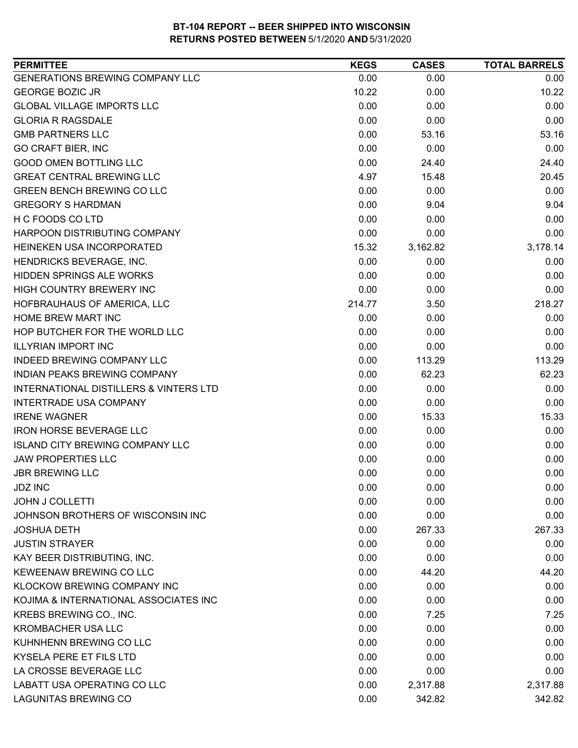| <b>PERMITTEE</b>                                  | <b>KEGS</b> | <b>CASES</b> | <b>TOTAL BARRELS</b> |
|---------------------------------------------------|-------------|--------------|----------------------|
| <b>GENERATIONS BREWING COMPANY LLC</b>            | 0.00        | 0.00         | 0.00                 |
| <b>GEORGE BOZIC JR</b>                            | 10.22       | 0.00         | 10.22                |
| <b>GLOBAL VILLAGE IMPORTS LLC</b>                 | 0.00        | 0.00         | 0.00                 |
| <b>GLORIA R RAGSDALE</b>                          | 0.00        | 0.00         | 0.00                 |
| <b>GMB PARTNERS LLC</b>                           | 0.00        | 53.16        | 53.16                |
| <b>GO CRAFT BIER, INC</b>                         | 0.00        | 0.00         | 0.00                 |
| <b>GOOD OMEN BOTTLING LLC</b>                     | 0.00        | 24.40        | 24.40                |
| <b>GREAT CENTRAL BREWING LLC</b>                  | 4.97        | 15.48        | 20.45                |
| <b>GREEN BENCH BREWING CO LLC</b>                 | 0.00        | 0.00         | 0.00                 |
| <b>GREGORY S HARDMAN</b>                          | 0.00        | 9.04         | 9.04                 |
| H C FOODS CO LTD                                  | 0.00        | 0.00         | 0.00                 |
| HARPOON DISTRIBUTING COMPANY                      | 0.00        | 0.00         | 0.00                 |
| HEINEKEN USA INCORPORATED                         | 15.32       | 3,162.82     | 3,178.14             |
| HENDRICKS BEVERAGE, INC.                          | 0.00        | 0.00         | 0.00                 |
| <b>HIDDEN SPRINGS ALE WORKS</b>                   | 0.00        | 0.00         | 0.00                 |
| HIGH COUNTRY BREWERY INC                          | 0.00        | 0.00         | 0.00                 |
| HOFBRAUHAUS OF AMERICA, LLC                       | 214.77      | 3.50         | 218.27               |
| HOME BREW MART INC                                | 0.00        | 0.00         | 0.00                 |
| HOP BUTCHER FOR THE WORLD LLC                     | 0.00        | 0.00         | 0.00                 |
| <b>ILLYRIAN IMPORT INC</b>                        | 0.00        | 0.00         | 0.00                 |
| INDEED BREWING COMPANY LLC                        | 0.00        | 113.29       | 113.29               |
| INDIAN PEAKS BREWING COMPANY                      | 0.00        | 62.23        | 62.23                |
| <b>INTERNATIONAL DISTILLERS &amp; VINTERS LTD</b> | 0.00        | 0.00         | 0.00                 |
| <b>INTERTRADE USA COMPANY</b>                     | 0.00        | 0.00         | 0.00                 |
| <b>IRENE WAGNER</b>                               | 0.00        | 15.33        | 15.33                |
| <b>IRON HORSE BEVERAGE LLC</b>                    | 0.00        | 0.00         | 0.00                 |
| <b>ISLAND CITY BREWING COMPANY LLC</b>            | 0.00        | 0.00         | 0.00                 |
| <b>JAW PROPERTIES LLC</b>                         | 0.00        | 0.00         | 0.00                 |
| <b>JBR BREWING LLC</b>                            | 0.00        | 0.00         | 0.00                 |
| <b>JDZ INC</b>                                    | 0.00        | 0.00         | 0.00                 |
| JOHN J COLLETTI                                   | 0.00        | 0.00         | 0.00                 |
| JOHNSON BROTHERS OF WISCONSIN INC                 | 0.00        | 0.00         | 0.00                 |
| <b>JOSHUA DETH</b>                                | 0.00        | 267.33       | 267.33               |
| <b>JUSTIN STRAYER</b>                             | 0.00        | 0.00         | 0.00                 |
| KAY BEER DISTRIBUTING, INC.                       | 0.00        | 0.00         | 0.00                 |
| KEWEENAW BREWING CO LLC                           | 0.00        | 44.20        | 44.20                |
| KLOCKOW BREWING COMPANY INC                       | 0.00        | 0.00         | 0.00                 |
| KOJIMA & INTERNATIONAL ASSOCIATES INC             | 0.00        | 0.00         | 0.00                 |
| KREBS BREWING CO., INC.                           | 0.00        | 7.25         | 7.25                 |
| <b>KROMBACHER USA LLC</b>                         | 0.00        | 0.00         | 0.00                 |
| KUHNHENN BREWING CO LLC                           | 0.00        | 0.00         | 0.00                 |
| KYSELA PERE ET FILS LTD                           | 0.00        | 0.00         | 0.00                 |
| LA CROSSE BEVERAGE LLC                            | 0.00        | 0.00         | 0.00                 |
| LABATT USA OPERATING CO LLC                       | 0.00        | 2,317.88     | 2,317.88             |
| <b>LAGUNITAS BREWING CO</b>                       | 0.00        | 342.82       | 342.82               |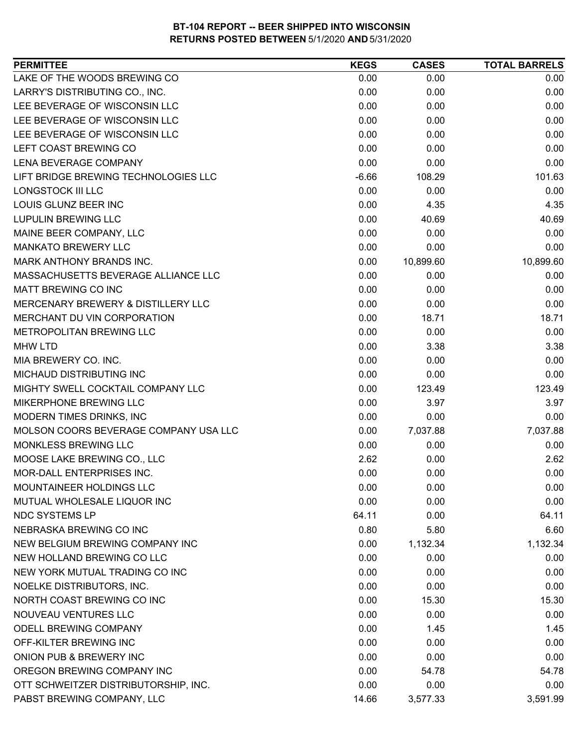| LAKE OF THE WOODS BREWING CO<br>0.00<br>0.00<br>0.00<br>LARRY'S DISTRIBUTING CO., INC.<br>0.00<br>0.00<br>0.00<br>LEE BEVERAGE OF WISCONSIN LLC<br>0.00<br>0.00<br>0.00<br>LEE BEVERAGE OF WISCONSIN LLC<br>0.00<br>0.00<br>0.00<br>LEE BEVERAGE OF WISCONSIN LLC<br>0.00<br>0.00<br>0.00<br>LEFT COAST BREWING CO<br>0.00<br>0.00<br>0.00<br>LENA BEVERAGE COMPANY<br>0.00<br>0.00<br>0.00<br>LIFT BRIDGE BREWING TECHNOLOGIES LLC<br>$-6.66$<br>108.29<br>101.63<br>0.00<br><b>LONGSTOCK III LLC</b><br>0.00<br>0.00<br>LOUIS GLUNZ BEER INC<br>0.00<br>4.35<br>4.35<br><b>LUPULIN BREWING LLC</b><br>0.00<br>40.69<br>40.69<br>MAINE BEER COMPANY, LLC<br>0.00<br>0.00<br>0.00<br><b>MANKATO BREWERY LLC</b><br>0.00<br>0.00<br>0.00<br>MARK ANTHONY BRANDS INC.<br>0.00<br>10,899.60<br>10,899.60<br>MASSACHUSETTS BEVERAGE ALLIANCE LLC<br>0.00<br>0.00<br>0.00<br><b>MATT BREWING CO INC</b><br>0.00<br>0.00<br>0.00<br>MERCENARY BREWERY & DISTILLERY LLC<br>0.00<br>0.00<br>0.00<br>MERCHANT DU VIN CORPORATION<br>0.00<br>18.71<br>18.71<br>METROPOLITAN BREWING LLC<br>0.00<br>0.00<br>0.00<br>0.00<br>3.38<br><b>MHW LTD</b><br>3.38<br>0.00<br>0.00<br>0.00<br>MIA BREWERY CO. INC.<br>MICHAUD DISTRIBUTING INC<br>0.00<br>0.00<br>0.00<br>MIGHTY SWELL COCKTAIL COMPANY LLC<br>0.00<br>123.49<br>123.49<br>MIKERPHONE BREWING LLC<br>0.00<br>3.97<br>3.97<br>MODERN TIMES DRINKS, INC<br>0.00<br>0.00<br>0.00<br>MOLSON COORS BEVERAGE COMPANY USA LLC<br>7,037.88<br>0.00<br>7,037.88<br>MONKLESS BREWING LLC<br>0.00<br>0.00<br>0.00<br>MOOSE LAKE BREWING CO., LLC<br>2.62<br>0.00<br>2.62<br>MOR-DALL ENTERPRISES INC.<br>0.00<br>0.00<br>0.00<br>MOUNTAINEER HOLDINGS LLC<br>0.00<br>0.00<br>0.00<br>0.00<br>MUTUAL WHOLESALE LIQUOR INC<br>0.00<br>0.00<br><b>NDC SYSTEMS LP</b><br>64.11<br>0.00<br>64.11<br>NEBRASKA BREWING CO INC<br>0.80<br>5.80<br>6.60<br>NEW BELGIUM BREWING COMPANY INC<br>1,132.34<br>0.00<br>1,132.34<br>NEW HOLLAND BREWING CO LLC<br>0.00<br>0.00<br>0.00<br>NEW YORK MUTUAL TRADING CO INC<br>0.00<br>0.00<br>0.00<br>NOELKE DISTRIBUTORS, INC.<br>0.00<br>0.00<br>0.00<br>NORTH COAST BREWING CO INC<br>0.00<br>15.30<br>15.30<br>NOUVEAU VENTURES LLC<br>0.00<br>0.00<br>0.00<br>ODELL BREWING COMPANY<br>0.00<br>1.45<br>1.45<br>OFF-KILTER BREWING INC<br>0.00<br>0.00<br>0.00<br>ONION PUB & BREWERY INC<br>0.00<br>0.00<br>0.00 | <b>PERMITTEE</b>           | <b>KEGS</b> | <b>CASES</b> | <b>TOTAL BARRELS</b> |
|----------------------------------------------------------------------------------------------------------------------------------------------------------------------------------------------------------------------------------------------------------------------------------------------------------------------------------------------------------------------------------------------------------------------------------------------------------------------------------------------------------------------------------------------------------------------------------------------------------------------------------------------------------------------------------------------------------------------------------------------------------------------------------------------------------------------------------------------------------------------------------------------------------------------------------------------------------------------------------------------------------------------------------------------------------------------------------------------------------------------------------------------------------------------------------------------------------------------------------------------------------------------------------------------------------------------------------------------------------------------------------------------------------------------------------------------------------------------------------------------------------------------------------------------------------------------------------------------------------------------------------------------------------------------------------------------------------------------------------------------------------------------------------------------------------------------------------------------------------------------------------------------------------------------------------------------------------------------------------------------------------------------------------------------------------------------------------------------------------------------------------------------------------------------------------------------------------------------------------------------------------------------------------------------------------------------------------------------------------------------------------------|----------------------------|-------------|--------------|----------------------|
|                                                                                                                                                                                                                                                                                                                                                                                                                                                                                                                                                                                                                                                                                                                                                                                                                                                                                                                                                                                                                                                                                                                                                                                                                                                                                                                                                                                                                                                                                                                                                                                                                                                                                                                                                                                                                                                                                                                                                                                                                                                                                                                                                                                                                                                                                                                                                                                        |                            |             |              |                      |
|                                                                                                                                                                                                                                                                                                                                                                                                                                                                                                                                                                                                                                                                                                                                                                                                                                                                                                                                                                                                                                                                                                                                                                                                                                                                                                                                                                                                                                                                                                                                                                                                                                                                                                                                                                                                                                                                                                                                                                                                                                                                                                                                                                                                                                                                                                                                                                                        |                            |             |              |                      |
|                                                                                                                                                                                                                                                                                                                                                                                                                                                                                                                                                                                                                                                                                                                                                                                                                                                                                                                                                                                                                                                                                                                                                                                                                                                                                                                                                                                                                                                                                                                                                                                                                                                                                                                                                                                                                                                                                                                                                                                                                                                                                                                                                                                                                                                                                                                                                                                        |                            |             |              |                      |
|                                                                                                                                                                                                                                                                                                                                                                                                                                                                                                                                                                                                                                                                                                                                                                                                                                                                                                                                                                                                                                                                                                                                                                                                                                                                                                                                                                                                                                                                                                                                                                                                                                                                                                                                                                                                                                                                                                                                                                                                                                                                                                                                                                                                                                                                                                                                                                                        |                            |             |              |                      |
|                                                                                                                                                                                                                                                                                                                                                                                                                                                                                                                                                                                                                                                                                                                                                                                                                                                                                                                                                                                                                                                                                                                                                                                                                                                                                                                                                                                                                                                                                                                                                                                                                                                                                                                                                                                                                                                                                                                                                                                                                                                                                                                                                                                                                                                                                                                                                                                        |                            |             |              |                      |
|                                                                                                                                                                                                                                                                                                                                                                                                                                                                                                                                                                                                                                                                                                                                                                                                                                                                                                                                                                                                                                                                                                                                                                                                                                                                                                                                                                                                                                                                                                                                                                                                                                                                                                                                                                                                                                                                                                                                                                                                                                                                                                                                                                                                                                                                                                                                                                                        |                            |             |              |                      |
|                                                                                                                                                                                                                                                                                                                                                                                                                                                                                                                                                                                                                                                                                                                                                                                                                                                                                                                                                                                                                                                                                                                                                                                                                                                                                                                                                                                                                                                                                                                                                                                                                                                                                                                                                                                                                                                                                                                                                                                                                                                                                                                                                                                                                                                                                                                                                                                        |                            |             |              |                      |
|                                                                                                                                                                                                                                                                                                                                                                                                                                                                                                                                                                                                                                                                                                                                                                                                                                                                                                                                                                                                                                                                                                                                                                                                                                                                                                                                                                                                                                                                                                                                                                                                                                                                                                                                                                                                                                                                                                                                                                                                                                                                                                                                                                                                                                                                                                                                                                                        |                            |             |              |                      |
|                                                                                                                                                                                                                                                                                                                                                                                                                                                                                                                                                                                                                                                                                                                                                                                                                                                                                                                                                                                                                                                                                                                                                                                                                                                                                                                                                                                                                                                                                                                                                                                                                                                                                                                                                                                                                                                                                                                                                                                                                                                                                                                                                                                                                                                                                                                                                                                        |                            |             |              |                      |
|                                                                                                                                                                                                                                                                                                                                                                                                                                                                                                                                                                                                                                                                                                                                                                                                                                                                                                                                                                                                                                                                                                                                                                                                                                                                                                                                                                                                                                                                                                                                                                                                                                                                                                                                                                                                                                                                                                                                                                                                                                                                                                                                                                                                                                                                                                                                                                                        |                            |             |              |                      |
|                                                                                                                                                                                                                                                                                                                                                                                                                                                                                                                                                                                                                                                                                                                                                                                                                                                                                                                                                                                                                                                                                                                                                                                                                                                                                                                                                                                                                                                                                                                                                                                                                                                                                                                                                                                                                                                                                                                                                                                                                                                                                                                                                                                                                                                                                                                                                                                        |                            |             |              |                      |
|                                                                                                                                                                                                                                                                                                                                                                                                                                                                                                                                                                                                                                                                                                                                                                                                                                                                                                                                                                                                                                                                                                                                                                                                                                                                                                                                                                                                                                                                                                                                                                                                                                                                                                                                                                                                                                                                                                                                                                                                                                                                                                                                                                                                                                                                                                                                                                                        |                            |             |              |                      |
|                                                                                                                                                                                                                                                                                                                                                                                                                                                                                                                                                                                                                                                                                                                                                                                                                                                                                                                                                                                                                                                                                                                                                                                                                                                                                                                                                                                                                                                                                                                                                                                                                                                                                                                                                                                                                                                                                                                                                                                                                                                                                                                                                                                                                                                                                                                                                                                        |                            |             |              |                      |
|                                                                                                                                                                                                                                                                                                                                                                                                                                                                                                                                                                                                                                                                                                                                                                                                                                                                                                                                                                                                                                                                                                                                                                                                                                                                                                                                                                                                                                                                                                                                                                                                                                                                                                                                                                                                                                                                                                                                                                                                                                                                                                                                                                                                                                                                                                                                                                                        |                            |             |              |                      |
|                                                                                                                                                                                                                                                                                                                                                                                                                                                                                                                                                                                                                                                                                                                                                                                                                                                                                                                                                                                                                                                                                                                                                                                                                                                                                                                                                                                                                                                                                                                                                                                                                                                                                                                                                                                                                                                                                                                                                                                                                                                                                                                                                                                                                                                                                                                                                                                        |                            |             |              |                      |
|                                                                                                                                                                                                                                                                                                                                                                                                                                                                                                                                                                                                                                                                                                                                                                                                                                                                                                                                                                                                                                                                                                                                                                                                                                                                                                                                                                                                                                                                                                                                                                                                                                                                                                                                                                                                                                                                                                                                                                                                                                                                                                                                                                                                                                                                                                                                                                                        |                            |             |              |                      |
|                                                                                                                                                                                                                                                                                                                                                                                                                                                                                                                                                                                                                                                                                                                                                                                                                                                                                                                                                                                                                                                                                                                                                                                                                                                                                                                                                                                                                                                                                                                                                                                                                                                                                                                                                                                                                                                                                                                                                                                                                                                                                                                                                                                                                                                                                                                                                                                        |                            |             |              |                      |
|                                                                                                                                                                                                                                                                                                                                                                                                                                                                                                                                                                                                                                                                                                                                                                                                                                                                                                                                                                                                                                                                                                                                                                                                                                                                                                                                                                                                                                                                                                                                                                                                                                                                                                                                                                                                                                                                                                                                                                                                                                                                                                                                                                                                                                                                                                                                                                                        |                            |             |              |                      |
|                                                                                                                                                                                                                                                                                                                                                                                                                                                                                                                                                                                                                                                                                                                                                                                                                                                                                                                                                                                                                                                                                                                                                                                                                                                                                                                                                                                                                                                                                                                                                                                                                                                                                                                                                                                                                                                                                                                                                                                                                                                                                                                                                                                                                                                                                                                                                                                        |                            |             |              |                      |
|                                                                                                                                                                                                                                                                                                                                                                                                                                                                                                                                                                                                                                                                                                                                                                                                                                                                                                                                                                                                                                                                                                                                                                                                                                                                                                                                                                                                                                                                                                                                                                                                                                                                                                                                                                                                                                                                                                                                                                                                                                                                                                                                                                                                                                                                                                                                                                                        |                            |             |              |                      |
|                                                                                                                                                                                                                                                                                                                                                                                                                                                                                                                                                                                                                                                                                                                                                                                                                                                                                                                                                                                                                                                                                                                                                                                                                                                                                                                                                                                                                                                                                                                                                                                                                                                                                                                                                                                                                                                                                                                                                                                                                                                                                                                                                                                                                                                                                                                                                                                        |                            |             |              |                      |
|                                                                                                                                                                                                                                                                                                                                                                                                                                                                                                                                                                                                                                                                                                                                                                                                                                                                                                                                                                                                                                                                                                                                                                                                                                                                                                                                                                                                                                                                                                                                                                                                                                                                                                                                                                                                                                                                                                                                                                                                                                                                                                                                                                                                                                                                                                                                                                                        |                            |             |              |                      |
|                                                                                                                                                                                                                                                                                                                                                                                                                                                                                                                                                                                                                                                                                                                                                                                                                                                                                                                                                                                                                                                                                                                                                                                                                                                                                                                                                                                                                                                                                                                                                                                                                                                                                                                                                                                                                                                                                                                                                                                                                                                                                                                                                                                                                                                                                                                                                                                        |                            |             |              |                      |
|                                                                                                                                                                                                                                                                                                                                                                                                                                                                                                                                                                                                                                                                                                                                                                                                                                                                                                                                                                                                                                                                                                                                                                                                                                                                                                                                                                                                                                                                                                                                                                                                                                                                                                                                                                                                                                                                                                                                                                                                                                                                                                                                                                                                                                                                                                                                                                                        |                            |             |              |                      |
|                                                                                                                                                                                                                                                                                                                                                                                                                                                                                                                                                                                                                                                                                                                                                                                                                                                                                                                                                                                                                                                                                                                                                                                                                                                                                                                                                                                                                                                                                                                                                                                                                                                                                                                                                                                                                                                                                                                                                                                                                                                                                                                                                                                                                                                                                                                                                                                        |                            |             |              |                      |
|                                                                                                                                                                                                                                                                                                                                                                                                                                                                                                                                                                                                                                                                                                                                                                                                                                                                                                                                                                                                                                                                                                                                                                                                                                                                                                                                                                                                                                                                                                                                                                                                                                                                                                                                                                                                                                                                                                                                                                                                                                                                                                                                                                                                                                                                                                                                                                                        |                            |             |              |                      |
|                                                                                                                                                                                                                                                                                                                                                                                                                                                                                                                                                                                                                                                                                                                                                                                                                                                                                                                                                                                                                                                                                                                                                                                                                                                                                                                                                                                                                                                                                                                                                                                                                                                                                                                                                                                                                                                                                                                                                                                                                                                                                                                                                                                                                                                                                                                                                                                        |                            |             |              |                      |
|                                                                                                                                                                                                                                                                                                                                                                                                                                                                                                                                                                                                                                                                                                                                                                                                                                                                                                                                                                                                                                                                                                                                                                                                                                                                                                                                                                                                                                                                                                                                                                                                                                                                                                                                                                                                                                                                                                                                                                                                                                                                                                                                                                                                                                                                                                                                                                                        |                            |             |              |                      |
|                                                                                                                                                                                                                                                                                                                                                                                                                                                                                                                                                                                                                                                                                                                                                                                                                                                                                                                                                                                                                                                                                                                                                                                                                                                                                                                                                                                                                                                                                                                                                                                                                                                                                                                                                                                                                                                                                                                                                                                                                                                                                                                                                                                                                                                                                                                                                                                        |                            |             |              |                      |
|                                                                                                                                                                                                                                                                                                                                                                                                                                                                                                                                                                                                                                                                                                                                                                                                                                                                                                                                                                                                                                                                                                                                                                                                                                                                                                                                                                                                                                                                                                                                                                                                                                                                                                                                                                                                                                                                                                                                                                                                                                                                                                                                                                                                                                                                                                                                                                                        |                            |             |              |                      |
|                                                                                                                                                                                                                                                                                                                                                                                                                                                                                                                                                                                                                                                                                                                                                                                                                                                                                                                                                                                                                                                                                                                                                                                                                                                                                                                                                                                                                                                                                                                                                                                                                                                                                                                                                                                                                                                                                                                                                                                                                                                                                                                                                                                                                                                                                                                                                                                        |                            |             |              |                      |
|                                                                                                                                                                                                                                                                                                                                                                                                                                                                                                                                                                                                                                                                                                                                                                                                                                                                                                                                                                                                                                                                                                                                                                                                                                                                                                                                                                                                                                                                                                                                                                                                                                                                                                                                                                                                                                                                                                                                                                                                                                                                                                                                                                                                                                                                                                                                                                                        |                            |             |              |                      |
|                                                                                                                                                                                                                                                                                                                                                                                                                                                                                                                                                                                                                                                                                                                                                                                                                                                                                                                                                                                                                                                                                                                                                                                                                                                                                                                                                                                                                                                                                                                                                                                                                                                                                                                                                                                                                                                                                                                                                                                                                                                                                                                                                                                                                                                                                                                                                                                        |                            |             |              |                      |
|                                                                                                                                                                                                                                                                                                                                                                                                                                                                                                                                                                                                                                                                                                                                                                                                                                                                                                                                                                                                                                                                                                                                                                                                                                                                                                                                                                                                                                                                                                                                                                                                                                                                                                                                                                                                                                                                                                                                                                                                                                                                                                                                                                                                                                                                                                                                                                                        |                            |             |              |                      |
|                                                                                                                                                                                                                                                                                                                                                                                                                                                                                                                                                                                                                                                                                                                                                                                                                                                                                                                                                                                                                                                                                                                                                                                                                                                                                                                                                                                                                                                                                                                                                                                                                                                                                                                                                                                                                                                                                                                                                                                                                                                                                                                                                                                                                                                                                                                                                                                        |                            |             |              |                      |
|                                                                                                                                                                                                                                                                                                                                                                                                                                                                                                                                                                                                                                                                                                                                                                                                                                                                                                                                                                                                                                                                                                                                                                                                                                                                                                                                                                                                                                                                                                                                                                                                                                                                                                                                                                                                                                                                                                                                                                                                                                                                                                                                                                                                                                                                                                                                                                                        |                            |             |              |                      |
|                                                                                                                                                                                                                                                                                                                                                                                                                                                                                                                                                                                                                                                                                                                                                                                                                                                                                                                                                                                                                                                                                                                                                                                                                                                                                                                                                                                                                                                                                                                                                                                                                                                                                                                                                                                                                                                                                                                                                                                                                                                                                                                                                                                                                                                                                                                                                                                        |                            |             |              |                      |
|                                                                                                                                                                                                                                                                                                                                                                                                                                                                                                                                                                                                                                                                                                                                                                                                                                                                                                                                                                                                                                                                                                                                                                                                                                                                                                                                                                                                                                                                                                                                                                                                                                                                                                                                                                                                                                                                                                                                                                                                                                                                                                                                                                                                                                                                                                                                                                                        |                            |             |              |                      |
|                                                                                                                                                                                                                                                                                                                                                                                                                                                                                                                                                                                                                                                                                                                                                                                                                                                                                                                                                                                                                                                                                                                                                                                                                                                                                                                                                                                                                                                                                                                                                                                                                                                                                                                                                                                                                                                                                                                                                                                                                                                                                                                                                                                                                                                                                                                                                                                        |                            |             |              |                      |
|                                                                                                                                                                                                                                                                                                                                                                                                                                                                                                                                                                                                                                                                                                                                                                                                                                                                                                                                                                                                                                                                                                                                                                                                                                                                                                                                                                                                                                                                                                                                                                                                                                                                                                                                                                                                                                                                                                                                                                                                                                                                                                                                                                                                                                                                                                                                                                                        |                            |             |              |                      |
|                                                                                                                                                                                                                                                                                                                                                                                                                                                                                                                                                                                                                                                                                                                                                                                                                                                                                                                                                                                                                                                                                                                                                                                                                                                                                                                                                                                                                                                                                                                                                                                                                                                                                                                                                                                                                                                                                                                                                                                                                                                                                                                                                                                                                                                                                                                                                                                        |                            |             |              |                      |
|                                                                                                                                                                                                                                                                                                                                                                                                                                                                                                                                                                                                                                                                                                                                                                                                                                                                                                                                                                                                                                                                                                                                                                                                                                                                                                                                                                                                                                                                                                                                                                                                                                                                                                                                                                                                                                                                                                                                                                                                                                                                                                                                                                                                                                                                                                                                                                                        |                            |             |              |                      |
|                                                                                                                                                                                                                                                                                                                                                                                                                                                                                                                                                                                                                                                                                                                                                                                                                                                                                                                                                                                                                                                                                                                                                                                                                                                                                                                                                                                                                                                                                                                                                                                                                                                                                                                                                                                                                                                                                                                                                                                                                                                                                                                                                                                                                                                                                                                                                                                        | OREGON BREWING COMPANY INC | 0.00        | 54.78        | 54.78                |
| OTT SCHWEITZER DISTRIBUTORSHIP, INC.<br>0.00<br>0.00<br>0.00                                                                                                                                                                                                                                                                                                                                                                                                                                                                                                                                                                                                                                                                                                                                                                                                                                                                                                                                                                                                                                                                                                                                                                                                                                                                                                                                                                                                                                                                                                                                                                                                                                                                                                                                                                                                                                                                                                                                                                                                                                                                                                                                                                                                                                                                                                                           |                            |             |              |                      |
| PABST BREWING COMPANY, LLC<br>14.66<br>3,577.33<br>3,591.99                                                                                                                                                                                                                                                                                                                                                                                                                                                                                                                                                                                                                                                                                                                                                                                                                                                                                                                                                                                                                                                                                                                                                                                                                                                                                                                                                                                                                                                                                                                                                                                                                                                                                                                                                                                                                                                                                                                                                                                                                                                                                                                                                                                                                                                                                                                            |                            |             |              |                      |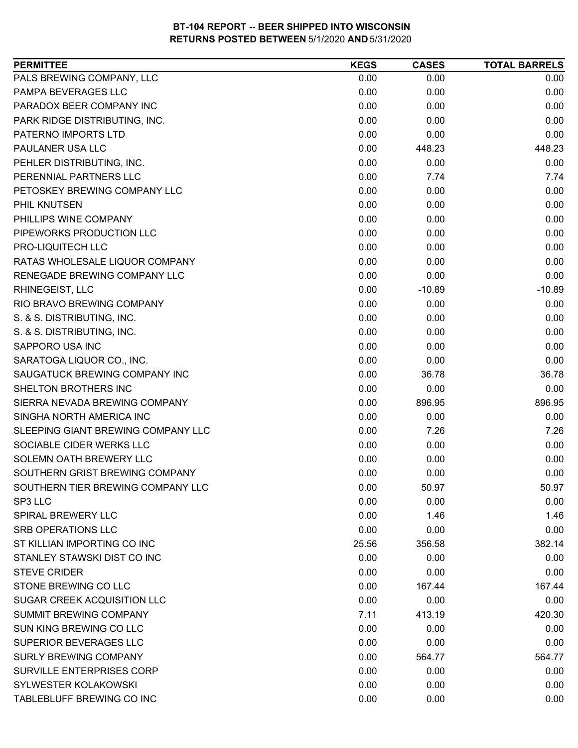| <b>PERMITTEE</b>                   | <b>KEGS</b> | <b>CASES</b> | <b>TOTAL BARRELS</b> |
|------------------------------------|-------------|--------------|----------------------|
| PALS BREWING COMPANY, LLC          | 0.00        | 0.00         | 0.00                 |
| PAMPA BEVERAGES LLC                | 0.00        | 0.00         | 0.00                 |
| PARADOX BEER COMPANY INC           | 0.00        | 0.00         | 0.00                 |
| PARK RIDGE DISTRIBUTING, INC.      | 0.00        | 0.00         | 0.00                 |
| PATERNO IMPORTS LTD                | 0.00        | 0.00         | 0.00                 |
| PAULANER USA LLC                   | 0.00        | 448.23       | 448.23               |
| PEHLER DISTRIBUTING, INC.          | 0.00        | 0.00         | 0.00                 |
| PERENNIAL PARTNERS LLC             | 0.00        | 7.74         | 7.74                 |
| PETOSKEY BREWING COMPANY LLC       | 0.00        | 0.00         | 0.00                 |
| PHIL KNUTSEN                       | 0.00        | 0.00         | 0.00                 |
| PHILLIPS WINE COMPANY              | 0.00        | 0.00         | 0.00                 |
| PIPEWORKS PRODUCTION LLC           | 0.00        | 0.00         | 0.00                 |
| PRO-LIQUITECH LLC                  | 0.00        | 0.00         | 0.00                 |
| RATAS WHOLESALE LIQUOR COMPANY     | 0.00        | 0.00         | 0.00                 |
| RENEGADE BREWING COMPANY LLC       | 0.00        | 0.00         | 0.00                 |
| RHINEGEIST, LLC                    | 0.00        | $-10.89$     | $-10.89$             |
| RIO BRAVO BREWING COMPANY          | 0.00        | 0.00         | 0.00                 |
| S. & S. DISTRIBUTING, INC.         | 0.00        | 0.00         | 0.00                 |
| S. & S. DISTRIBUTING, INC.         | 0.00        | 0.00         | 0.00                 |
| SAPPORO USA INC                    | 0.00        | 0.00         | 0.00                 |
| SARATOGA LIQUOR CO., INC.          | 0.00        | 0.00         | 0.00                 |
| SAUGATUCK BREWING COMPANY INC      | 0.00        | 36.78        | 36.78                |
| SHELTON BROTHERS INC               | 0.00        | 0.00         | 0.00                 |
| SIERRA NEVADA BREWING COMPANY      | 0.00        | 896.95       | 896.95               |
| SINGHA NORTH AMERICA INC           | 0.00        | 0.00         | 0.00                 |
| SLEEPING GIANT BREWING COMPANY LLC | 0.00        | 7.26         | 7.26                 |
| SOCIABLE CIDER WERKS LLC           | 0.00        | 0.00         | 0.00                 |
| SOLEMN OATH BREWERY LLC            | 0.00        | 0.00         | 0.00                 |
| SOUTHERN GRIST BREWING COMPANY     | 0.00        | 0.00         | 0.00                 |
| SOUTHERN TIER BREWING COMPANY LLC  | 0.00        | 50.97        | 50.97                |
| SP3 LLC                            | 0.00        | 0.00         | 0.00                 |
| <b>SPIRAL BREWERY LLC</b>          | 0.00        | 1.46         | 1.46                 |
| <b>SRB OPERATIONS LLC</b>          | 0.00        | 0.00         | 0.00                 |
| ST KILLIAN IMPORTING CO INC        | 25.56       | 356.58       | 382.14               |
| STANLEY STAWSKI DIST CO INC        | 0.00        | 0.00         | 0.00                 |
| <b>STEVE CRIDER</b>                | 0.00        | 0.00         | 0.00                 |
| STONE BREWING CO LLC               | 0.00        | 167.44       | 167.44               |
| <b>SUGAR CREEK ACQUISITION LLC</b> | 0.00        | 0.00         | 0.00                 |
| SUMMIT BREWING COMPANY             | 7.11        | 413.19       | 420.30               |
| SUN KING BREWING CO LLC            | 0.00        | 0.00         | 0.00                 |
| SUPERIOR BEVERAGES LLC             | 0.00        | 0.00         | 0.00                 |
| <b>SURLY BREWING COMPANY</b>       | 0.00        | 564.77       | 564.77               |
| SURVILLE ENTERPRISES CORP          | 0.00        | 0.00         | 0.00                 |
| SYLWESTER KOLAKOWSKI               | 0.00        | 0.00         | 0.00                 |
| TABLEBLUFF BREWING CO INC          | 0.00        | 0.00         | 0.00                 |
|                                    |             |              |                      |